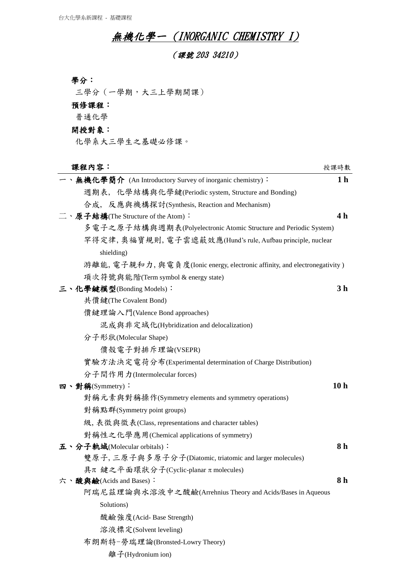## **無機化學一 (INORGANIC CHEMISTRY I)**

(課號 203 34210)

| ٠. |  |
|----|--|

三學分(一學期,大三上學期開課)

```
預修課程:
```
普通化學

```
開授對象:
```
化學系大三學生之基礎必修課。

| 課程內容:                                                                      | 授課時數            |
|----------------------------------------------------------------------------|-----------------|
| 一、無機化學簡介 (An Introductory Survey of inorganic chemistry):                  | 1 <sub>h</sub>  |
| 週期表, 化學結構與化學鍵(Periodic system, Structure and Bonding)                      |                 |
| 合成, 反應與機構探討(Synthesis, Reaction and Mechanism)                             |                 |
| 二、原子結構(The Structure of the Atom):                                         | 4 <sub>h</sub>  |
| 多電子之原子結構與週期表(Polyelectronic Atomic Structure and Periodic System)          |                 |
| 罕得定律, 奧福寶規則, 電子雲遮蔽效應(Hund's rule, Aufbau principle, nuclear                |                 |
| shielding)                                                                 |                 |
| 游離能, 電子親和力, 與電負度(Ionic energy, electronic affinity, and electronegativity) |                 |
| 項次符號與能階(Term symbol & energy state)                                        |                 |
| 三、化學鍵模型(Bonding Models):                                                   | 3 <sub>h</sub>  |
| 共價鍵(The Covalent Bond)                                                     |                 |
| 價鍵理論入門(Valence Bond approaches)                                            |                 |
| 混成與非定域化(Hybridization and delocalization)                                  |                 |
| 分子形狀(Molecular Shape)                                                      |                 |
| 價殼電子對排斥理論(VSEPR)                                                           |                 |
| 實驗方法決定電荷分布(Experimental determination of Charge Distribution)              |                 |
| 分子間作用力(Intermolecular forces)                                              |                 |
| 四、對稱(Symmetry):                                                            | 10 <sub>h</sub> |
| 對稱元素與對稱操作(Symmetry elements and symmetry operations)                       |                 |
| 對稱點群(Symmetry point groups)                                                |                 |
| 級, 表徵與徵表(Class, representations and character tables)                      |                 |
| 對稱性之化學應用(Chemical applications of symmetry)                                |                 |
| 五、分子軌域(Molecular orbitals):                                                | 8 <sub>h</sub>  |
| 雙原子, 三原子與多原子分子(Diatomic, triatomic and larger molecules)                   |                 |
| 具π 鍵之平面環狀分子(Cyclic-planar π molecules)                                     |                 |
| 六、酸與鹼(Acids and Bases):                                                    | 8 h             |
| 阿瑞尼茲理論與水溶液中之酸鹼(Arrehnius Theory and Acids/Bases in Aqueous                 |                 |
| Solutions)                                                                 |                 |
| 酸鹼強度(Acid-Base Strength)                                                   |                 |
| 溶液標定(Solvent leveling)                                                     |                 |
| 布朗斯特-勞瑞理論(Bronsted-Lowry Theory)                                           |                 |

離子(Hydronium ion)